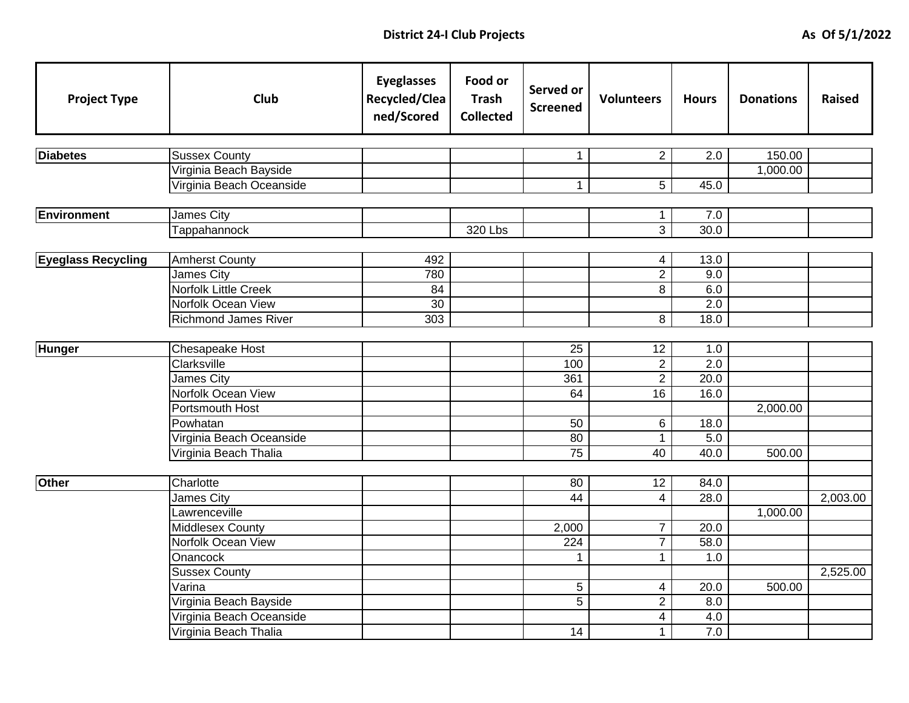| <b>Project Type</b>       | <b>Club</b>                 | <b>Eyeglasses</b><br>Recycled/Clea<br>ned/Scored | Food or<br><b>Trash</b><br><b>Collected</b> | Served or<br><b>Screened</b> | <b>Volunteers</b>   | <b>Hours</b>     | <b>Donations</b> | <b>Raised</b> |
|---------------------------|-----------------------------|--------------------------------------------------|---------------------------------------------|------------------------------|---------------------|------------------|------------------|---------------|
|                           |                             |                                                  |                                             |                              |                     |                  |                  |               |
| <b>Diabetes</b>           | <b>Sussex County</b>        |                                                  |                                             | $\mathbf{1}$                 | $\overline{2}$      | 2.0              | 150.00           |               |
|                           | Virginia Beach Bayside      |                                                  |                                             |                              |                     |                  | 1,000.00         |               |
|                           | Virginia Beach Oceanside    |                                                  |                                             | $\mathbf{1}$                 | 5                   | 45.0             |                  |               |
| <b>Environment</b>        | <b>James City</b>           |                                                  |                                             |                              | 1                   | 7.0              |                  |               |
|                           | Tappahannock                |                                                  | 320 Lbs                                     |                              | 3                   | 30.0             |                  |               |
|                           |                             |                                                  |                                             |                              |                     |                  |                  |               |
| <b>Eyeglass Recycling</b> | <b>Amherst County</b>       | 492                                              |                                             |                              | 4                   | 13.0             |                  |               |
|                           | James City                  | 780                                              |                                             |                              | $\overline{2}$      | 9.0              |                  |               |
|                           | <b>Norfolk Little Creek</b> | 84                                               |                                             |                              | 8                   | 6.0              |                  |               |
|                           | Norfolk Ocean View          | 30                                               |                                             |                              |                     | 2.0              |                  |               |
|                           | <b>Richmond James River</b> | 303                                              |                                             |                              | 8                   | 18.0             |                  |               |
|                           |                             |                                                  |                                             |                              |                     |                  |                  |               |
| <b>Hunger</b>             | Chesapeake Host             |                                                  |                                             | 25                           | 12                  | 1.0              |                  |               |
|                           | Clarksville                 |                                                  |                                             | 100                          | $\overline{2}$      | $\overline{2.0}$ |                  |               |
|                           | James City                  |                                                  |                                             | 361                          | $\overline{2}$      | 20.0             |                  |               |
|                           | Norfolk Ocean View          |                                                  |                                             | 64                           | 16                  | 16.0             |                  |               |
|                           | Portsmouth Host             |                                                  |                                             |                              |                     |                  | 2,000.00         |               |
|                           | Powhatan                    |                                                  |                                             | 50                           | 6                   | 18.0             |                  |               |
|                           | Virginia Beach Oceanside    |                                                  |                                             | 80                           | $\mathbf{1}$        | 5.0              |                  |               |
|                           | Virginia Beach Thalia       |                                                  |                                             | 75                           | $\overline{40}$     | 40.0             | 500.00           |               |
| Other                     | Charlotte                   |                                                  |                                             | 80                           | 12                  | 84.0             |                  |               |
|                           | James City                  |                                                  |                                             | 44                           | 4                   | 28.0             |                  |               |
|                           |                             |                                                  |                                             |                              |                     |                  |                  | 2,003.00      |
|                           | Lawrenceville               |                                                  |                                             |                              |                     |                  | 1,000.00         |               |
|                           | <b>Middlesex County</b>     |                                                  |                                             | 2,000                        | 7<br>$\overline{7}$ | 20.0             |                  |               |
|                           | Norfolk Ocean View          |                                                  |                                             | 224                          |                     | 58.0             |                  |               |
|                           | Onancock                    |                                                  |                                             | $\mathbf{1}$                 | 1                   | 1.0              |                  |               |
|                           | <b>Sussex County</b>        |                                                  |                                             |                              |                     |                  |                  | 2,525.00      |
|                           | Varina                      |                                                  |                                             | 5                            | 4                   | 20.0             | 500.00           |               |
|                           | Virginia Beach Bayside      |                                                  |                                             | $\overline{5}$               | $\overline{2}$      | 8.0              |                  |               |
|                           | Virginia Beach Oceanside    |                                                  |                                             |                              | 4                   | 4.0              |                  |               |
|                           | Virginia Beach Thalia       |                                                  |                                             | 14                           | 1                   | 7.0              |                  |               |